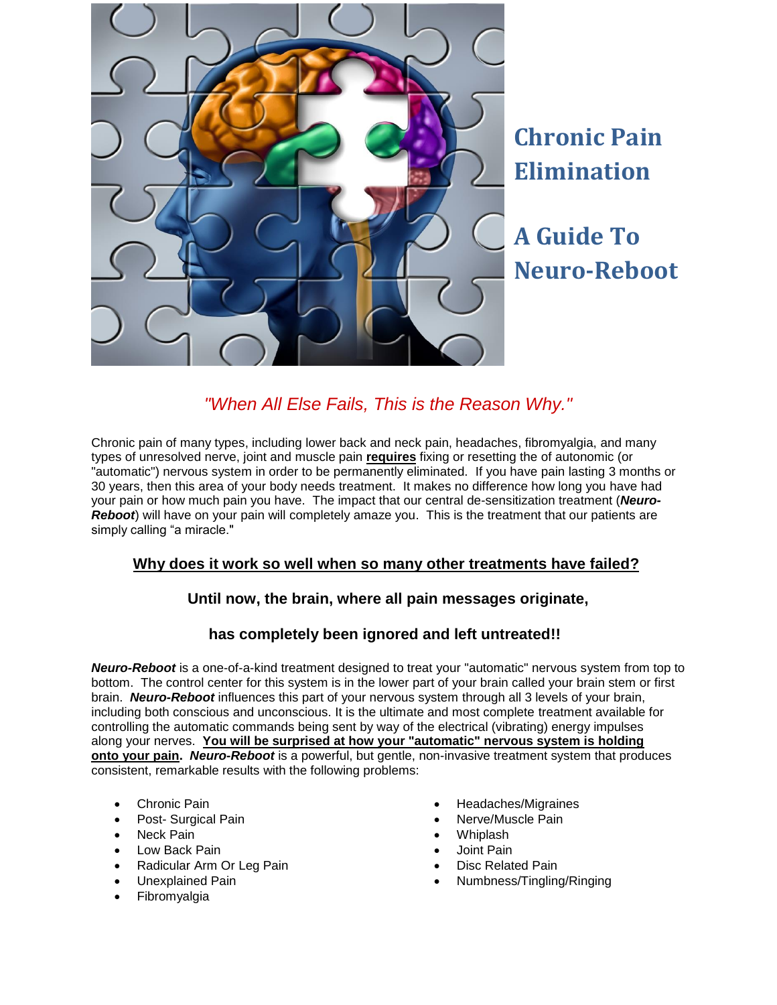

# **Chronic Pain Elimination**

**A Guide To Neuro-Reboot**

# *"When All Else Fails, This is the Reason Why."*

Chronic pain of many types, including lower back and neck pain, headaches, fibromyalgia, and many types of unresolved nerve, joint and muscle pain **requires** fixing or resetting the of autonomic (or "automatic") nervous system in order to be permanently eliminated. If you have pain lasting 3 months or 30 years, then this area of your body needs treatment. It makes no difference how long you have had your pain or how much pain you have. The impact that our central de-sensitization treatment (*Neuro-Reboot*) will have on your pain will completely amaze you. This is the treatment that our patients are simply calling "a miracle."

#### **Why does it work so well when so many other treatments have failed?**

## **Until now, the brain, where all pain messages originate,**

## **has completely been ignored and left untreated!!**

*Neuro-Reboot* is a one-of-a-kind treatment designed to treat your "automatic" nervous system from top to bottom. The control center for this system is in the lower part of your brain called your brain stem or first brain. *Neuro-Reboot* influences this part of your nervous system through all 3 levels of your brain, including both conscious and unconscious. It is the ultimate and most complete treatment available for controlling the automatic commands being sent by way of the electrical (vibrating) energy impulses along your nerves. **You will be surprised at how your "automatic" nervous system is holding onto your pain.** *Neuro-Reboot* is a powerful, but gentle, non-invasive treatment system that produces consistent, remarkable results with the following problems:

- Chronic Pain
- Post- Surgical Pain
- Neck Pain
- Low Back Pain
- Radicular Arm Or Leg Pain
- Unexplained Pain
- **•** Fibromyalgia
- Headaches/Migraines
- Nerve/Muscle Pain
- Whiplash
- Joint Pain
- Disc Related Pain
- Numbness/Tingling/Ringing